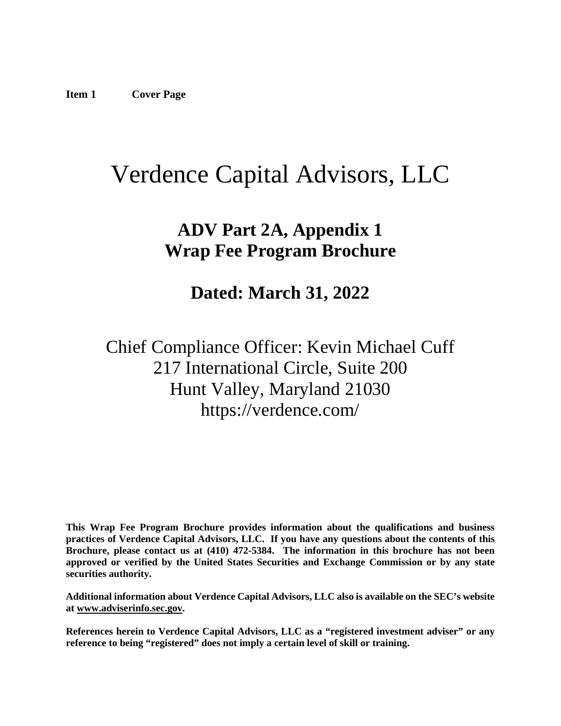# <span id="page-0-0"></span>Verdence Capital Advisors, LLC

## **ADV Part 2A, Appendix 1 Wrap Fee Program Brochure**

## **Dated: March 31, 2022**

Chief Compliance Officer: Kevin Michael Cuff 217 International Circle, Suite 200 Hunt Valley, Maryland 21030 https://verdence.com/

**This Wrap Fee Program Brochure provides information about the qualifications and business practices of Verdence Capital Advisors, LLC. If you have any questions about the contents of this Brochure, please contact us at (410) 472-5384. The information in this brochure has not been approved or verified by the United States Securities and Exchange Commission or by any state securities authority.**

**Additional information about Verdence Capital Advisors, LLC also is available on the SEC's website at [www.adviserinfo.sec.gov.](http://www.adviserinfo.sec.gov/)**

**References herein to Verdence Capital Advisors, LLC as a "registered investment adviser" or any reference to being "registered" does not imply a certain level of skill or training.**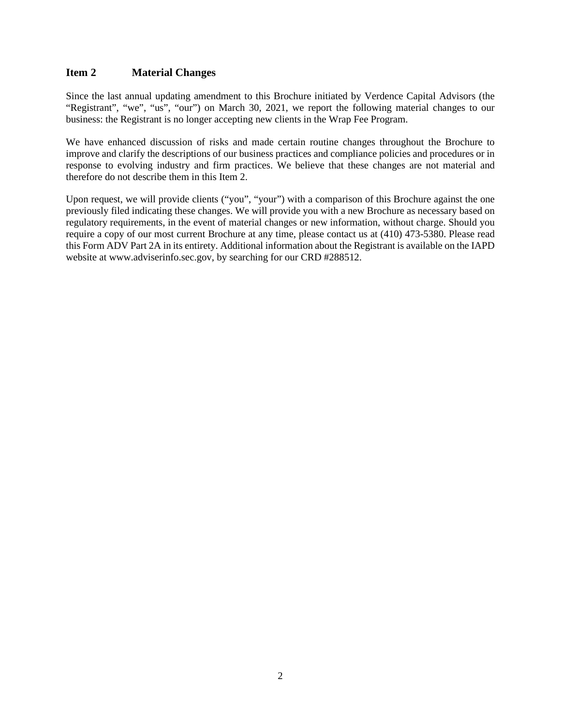## <span id="page-1-0"></span>**Item 2 Material Changes**

Since the last annual updating amendment to this Brochure initiated by Verdence Capital Advisors (the "Registrant", "we", "us", "our") on March 30, 2021, we report the following material changes to our business: the Registrant is no longer accepting new clients in the Wrap Fee Program.

We have enhanced discussion of risks and made certain routine changes throughout the Brochure to improve and clarify the descriptions of our business practices and compliance policies and procedures or in response to evolving industry and firm practices. We believe that these changes are not material and therefore do not describe them in this Item 2.

<span id="page-1-1"></span>Upon request, we will provide clients ("you", "your") with a comparison of this Brochure against the one previously filed indicating these changes. We will provide you with a new Brochure as necessary based on regulatory requirements, in the event of material changes or new information, without charge. Should you require a copy of our most current Brochure at any time, please contact us at (410) 473-5380. Please read this Form ADV Part 2A in its entirety. Additional information about the Registrant is available on the IAPD website at www.adviserinfo.sec.gov, by searching for our CRD #288512.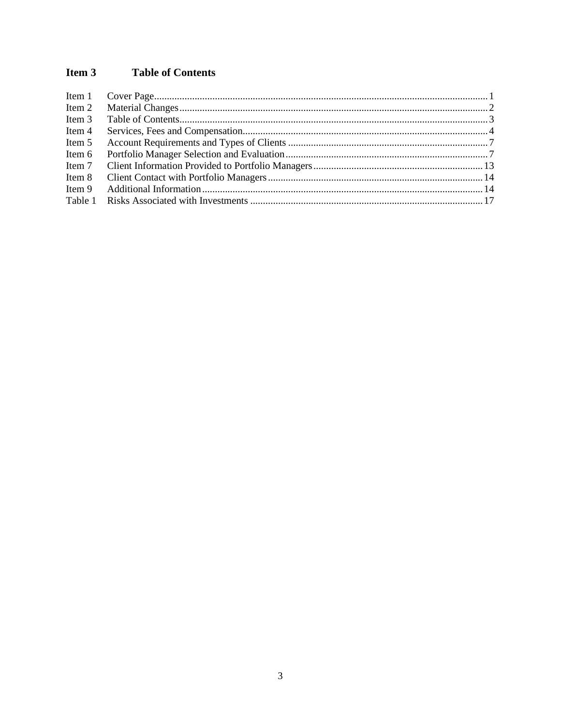#### Item 3 **Table of Contents**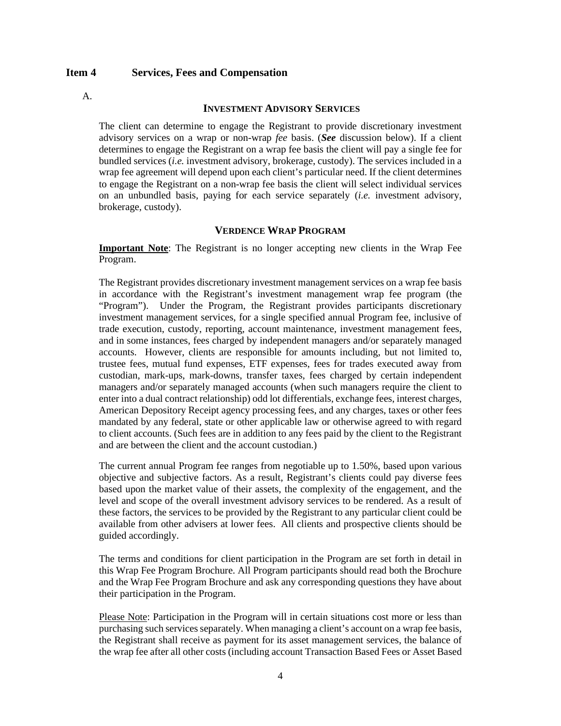## <span id="page-3-0"></span>**Item 4 Services, Fees and Compensation**

A.

#### **INVESTMENT ADVISORY SERVICES**

The client can determine to engage the Registrant to provide discretionary investment advisory services on a wrap or non-wrap *fee* basis. (*See* discussion below). If a client determines to engage the Registrant on a wrap fee basis the client will pay a single fee for bundled services (*i.e.* investment advisory, brokerage, custody). The services included in a wrap fee agreement will depend upon each client's particular need. If the client determines to engage the Registrant on a non-wrap fee basis the client will select individual services on an unbundled basis, paying for each service separately (*i.e.* investment advisory, brokerage, custody).

### **VERDENCE WRAP PROGRAM**

**Important Note**: The Registrant is no longer accepting new clients in the Wrap Fee Program.

The Registrant provides discretionary investment management services on a wrap fee basis in accordance with the Registrant's investment management wrap fee program (the "Program"). Under the Program, the Registrant provides participants discretionary investment management services, for a single specified annual Program fee, inclusive of trade execution, custody, reporting, account maintenance, investment management fees, and in some instances, fees charged by independent managers and/or separately managed accounts. However, clients are responsible for amounts including, but not limited to, trustee fees, mutual fund expenses, ETF expenses, fees for trades executed away from custodian, mark-ups, mark-downs, transfer taxes, fees charged by certain independent managers and/or separately managed accounts (when such managers require the client to enter into a dual contract relationship) odd lot differentials, exchange fees, interest charges, American Depository Receipt agency processing fees, and any charges, taxes or other fees mandated by any federal, state or other applicable law or otherwise agreed to with regard to client accounts. (Such fees are in addition to any fees paid by the client to the Registrant and are between the client and the account custodian.)

The current annual Program fee ranges from negotiable up to 1.50%, based upon various objective and subjective factors. As a result, Registrant's clients could pay diverse fees based upon the market value of their assets, the complexity of the engagement, and the level and scope of the overall investment advisory services to be rendered. As a result of these factors, the services to be provided by the Registrant to any particular client could be available from other advisers at lower fees. All clients and prospective clients should be guided accordingly.

The terms and conditions for client participation in the Program are set forth in detail in this Wrap Fee Program Brochure. All Program participants should read both the Brochure and the Wrap Fee Program Brochure and ask any corresponding questions they have about their participation in the Program.

Please Note: Participation in the Program will in certain situations cost more or less than purchasing such services separately. When managing a client's account on a wrap fee basis, the Registrant shall receive as payment for its asset management services, the balance of the wrap fee after all other costs (including account Transaction Based Fees or Asset Based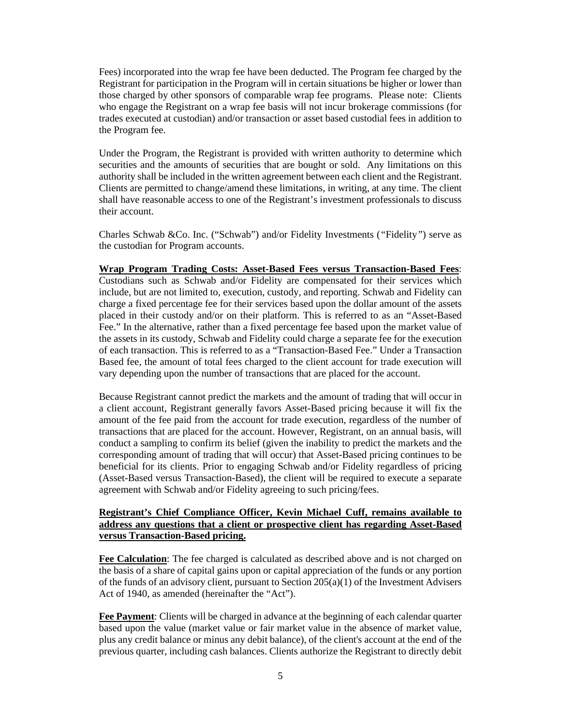Fees) incorporated into the wrap fee have been deducted. The Program fee charged by the Registrant for participation in the Program will in certain situations be higher or lower than those charged by other sponsors of comparable wrap fee programs. Please note: Clients who engage the Registrant on a wrap fee basis will not incur brokerage commissions (for trades executed at custodian) and/or transaction or asset based custodial fees in addition to the Program fee.

Under the Program, the Registrant is provided with written authority to determine which securities and the amounts of securities that are bought or sold. Any limitations on this authority shall be included in the written agreement between each client and the Registrant. Clients are permitted to change/amend these limitations, in writing, at any time. The client shall have reasonable access to one of the Registrant's investment professionals to discuss their account.

Charles Schwab &Co. Inc. ("Schwab") and/or Fidelity Investments (*"*Fidelity*"*) serve as the custodian for Program accounts.

#### **Wrap Program Trading Costs: Asset-Based Fees versus Transaction-Based Fees**:

Custodians such as Schwab and/or Fidelity are compensated for their services which include, but are not limited to, execution, custody, and reporting. Schwab and Fidelity can charge a fixed percentage fee for their services based upon the dollar amount of the assets placed in their custody and/or on their platform. This is referred to as an "Asset-Based Fee." In the alternative, rather than a fixed percentage fee based upon the market value of the assets in its custody, Schwab and Fidelity could charge a separate fee for the execution of each transaction. This is referred to as a "Transaction-Based Fee." Under a Transaction Based fee, the amount of total fees charged to the client account for trade execution will vary depending upon the number of transactions that are placed for the account.

Because Registrant cannot predict the markets and the amount of trading that will occur in a client account, Registrant generally favors Asset-Based pricing because it will fix the amount of the fee paid from the account for trade execution, regardless of the number of transactions that are placed for the account. However, Registrant, on an annual basis, will conduct a sampling to confirm its belief (given the inability to predict the markets and the corresponding amount of trading that will occur) that Asset-Based pricing continues to be beneficial for its clients. Prior to engaging Schwab and/or Fidelity regardless of pricing (Asset-Based versus Transaction-Based), the client will be required to execute a separate agreement with Schwab and/or Fidelity agreeing to such pricing/fees.

## **Registrant's Chief Compliance Officer, Kevin Michael Cuff, remains available to address any questions that a client or prospective client has regarding Asset-Based versus Transaction-Based pricing.**

**Fee Calculation**: The fee charged is calculated as described above and is not charged on the basis of a share of capital gains upon or capital appreciation of the funds or any portion of the funds of an advisory client, pursuant to Section  $205(a)(1)$  of the Investment Advisers Act of 1940, as amended (hereinafter the "Act").

**Fee Payment**: Clients will be charged in advance at the beginning of each calendar quarter based upon the value (market value or fair market value in the absence of market value, plus any credit balance or minus any debit balance), of the client's account at the end of the previous quarter, including cash balances. Clients authorize the Registrant to directly debit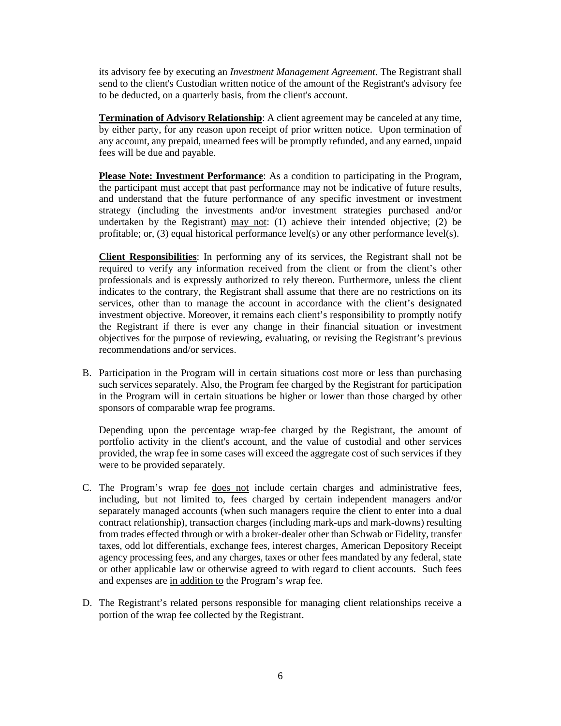its advisory fee by executing an *Investment Management Agreement*. The Registrant shall send to the client's Custodian written notice of the amount of the Registrant's advisory fee to be deducted, on a quarterly basis, from the client's account.

**Termination of Advisory Relationship**: A client agreement may be canceled at any time, by either party, for any reason upon receipt of prior written notice. Upon termination of any account, any prepaid, unearned fees will be promptly refunded, and any earned, unpaid fees will be due and payable.

**Please Note: Investment Performance**: As a condition to participating in the Program, the participant must accept that past performance may not be indicative of future results, and understand that the future performance of any specific investment or investment strategy (including the investments and/or investment strategies purchased and/or undertaken by the Registrant) may not: (1) achieve their intended objective; (2) be profitable; or, (3) equal historical performance level(s) or any other performance level(s).

**Client Responsibilities**: In performing any of its services, the Registrant shall not be required to verify any information received from the client or from the client's other professionals and is expressly authorized to rely thereon. Furthermore, unless the client indicates to the contrary, the Registrant shall assume that there are no restrictions on its services, other than to manage the account in accordance with the client's designated investment objective. Moreover, it remains each client's responsibility to promptly notify the Registrant if there is ever any change in their financial situation or investment objectives for the purpose of reviewing, evaluating, or revising the Registrant's previous recommendations and/or services.

B. Participation in the Program will in certain situations cost more or less than purchasing such services separately. Also, the Program fee charged by the Registrant for participation in the Program will in certain situations be higher or lower than those charged by other sponsors of comparable wrap fee programs.

Depending upon the percentage wrap-fee charged by the Registrant, the amount of portfolio activity in the client's account, and the value of custodial and other services provided, the wrap fee in some cases will exceed the aggregate cost of such services if they were to be provided separately.

- C. The Program's wrap fee does not include certain charges and administrative fees, including, but not limited to, fees charged by certain independent managers and/or separately managed accounts (when such managers require the client to enter into a dual contract relationship), transaction charges (including mark-ups and mark-downs) resulting from trades effected through or with a broker-dealer other than Schwab or Fidelity, transfer taxes, odd lot differentials, exchange fees, interest charges, American Depository Receipt agency processing fees, and any charges, taxes or other fees mandated by any federal, state or other applicable law or otherwise agreed to with regard to client accounts. Such fees and expenses are in addition to the Program's wrap fee.
- D. The Registrant's related persons responsible for managing client relationships receive a portion of the wrap fee collected by the Registrant.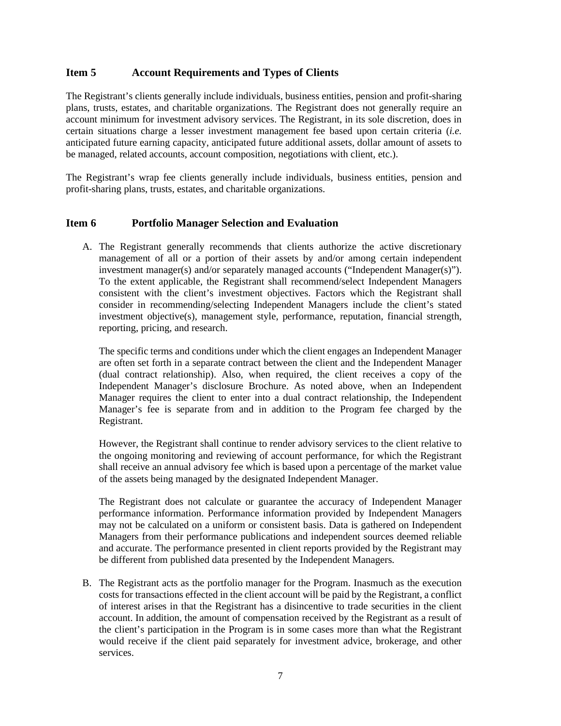## <span id="page-6-0"></span>**Item 5 Account Requirements and Types of Clients**

The Registrant's clients generally include individuals, business entities, pension and profit-sharing plans, trusts, estates, and charitable organizations. The Registrant does not generally require an account minimum for investment advisory services. The Registrant, in its sole discretion, does in certain situations charge a lesser investment management fee based upon certain criteria (*i.e.* anticipated future earning capacity, anticipated future additional assets, dollar amount of assets to be managed, related accounts, account composition, negotiations with client, etc.).

<span id="page-6-1"></span>The Registrant's wrap fee clients generally include individuals, business entities, pension and profit-sharing plans, trusts, estates, and charitable organizations.

## **Item 6 Portfolio Manager Selection and Evaluation**

A. The Registrant generally recommends that clients authorize the active discretionary management of all or a portion of their assets by and/or among certain independent investment manager(s) and/or separately managed accounts ("Independent Manager(s)"). To the extent applicable, the Registrant shall recommend/select Independent Managers consistent with the client's investment objectives. Factors which the Registrant shall consider in recommending/selecting Independent Managers include the client's stated investment objective(s), management style, performance, reputation, financial strength, reporting, pricing, and research.

The specific terms and conditions under which the client engages an Independent Manager are often set forth in a separate contract between the client and the Independent Manager (dual contract relationship). Also, when required, the client receives a copy of the Independent Manager's disclosure Brochure. As noted above, when an Independent Manager requires the client to enter into a dual contract relationship, the Independent Manager's fee is separate from and in addition to the Program fee charged by the Registrant.

However, the Registrant shall continue to render advisory services to the client relative to the ongoing monitoring and reviewing of account performance, for which the Registrant shall receive an annual advisory fee which is based upon a percentage of the market value of the assets being managed by the designated Independent Manager.

The Registrant does not calculate or guarantee the accuracy of Independent Manager performance information. Performance information provided by Independent Managers may not be calculated on a uniform or consistent basis. Data is gathered on Independent Managers from their performance publications and independent sources deemed reliable and accurate. The performance presented in client reports provided by the Registrant may be different from published data presented by the Independent Managers.

B. The Registrant acts as the portfolio manager for the Program. Inasmuch as the execution costs for transactions effected in the client account will be paid by the Registrant, a conflict of interest arises in that the Registrant has a disincentive to trade securities in the client account. In addition, the amount of compensation received by the Registrant as a result of the client's participation in the Program is in some cases more than what the Registrant would receive if the client paid separately for investment advice, brokerage, and other services.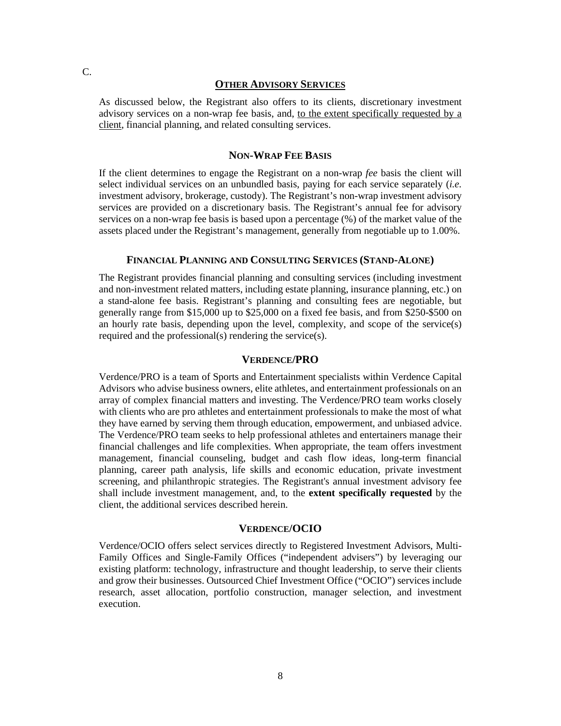#### **OTHER ADVISORY SERVICES**

As discussed below, the Registrant also offers to its clients, discretionary investment advisory services on a non-wrap fee basis, and, to the extent specifically requested by a client, financial planning, and related consulting services.

#### **NON-WRAP FEE BASIS**

If the client determines to engage the Registrant on a non-wrap *fee* basis the client will select individual services on an unbundled basis, paying for each service separately (*i.e.* investment advisory, brokerage, custody). The Registrant's non-wrap investment advisory services are provided on a discretionary basis. The Registrant's annual fee for advisory services on a non-wrap fee basis is based upon a percentage (%) of the market value of the assets placed under the Registrant's management, generally from negotiable up to 1.00%.

#### **FINANCIAL PLANNING AND CONSULTING SERVICES (STAND-ALONE)**

The Registrant provides financial planning and consulting services (including investment and non-investment related matters, including estate planning, insurance planning, etc.) on a stand-alone fee basis. Registrant's planning and consulting fees are negotiable, but generally range from \$15,000 up to \$25,000 on a fixed fee basis, and from \$250-\$500 on an hourly rate basis, depending upon the level, complexity, and scope of the service(s) required and the professional(s) rendering the service(s).

## **VERDENCE/PRO**

Verdence/PRO is a team of Sports and Entertainment specialists within Verdence Capital Advisors who advise business owners, elite athletes, and entertainment professionals on an array of complex financial matters and investing. The Verdence/PRO team works closely with clients who are pro athletes and entertainment professionals to make the most of what they have earned by serving them through education, empowerment, and unbiased advice. The Verdence/PRO team seeks to help professional athletes and entertainers manage their financial challenges and life complexities. When appropriate, the team offers investment management, financial counseling, budget and cash flow ideas, long-term financial planning, career path analysis, life skills and economic education, private investment screening, and philanthropic strategies. The Registrant's annual investment advisory fee shall include investment management, and, to the **extent specifically requested** by the client, the additional services described herein.

#### **VERDENCE/OCIO**

Verdence/OCIO offers select services directly to Registered Investment Advisors, Multi-Family Offices and Single-Family Offices ("independent advisers") by leveraging our existing platform: technology, infrastructure and thought leadership, to serve their clients and grow their businesses. Outsourced Chief Investment Office ("OCIO") services include research, asset allocation, portfolio construction, manager selection, and investment execution.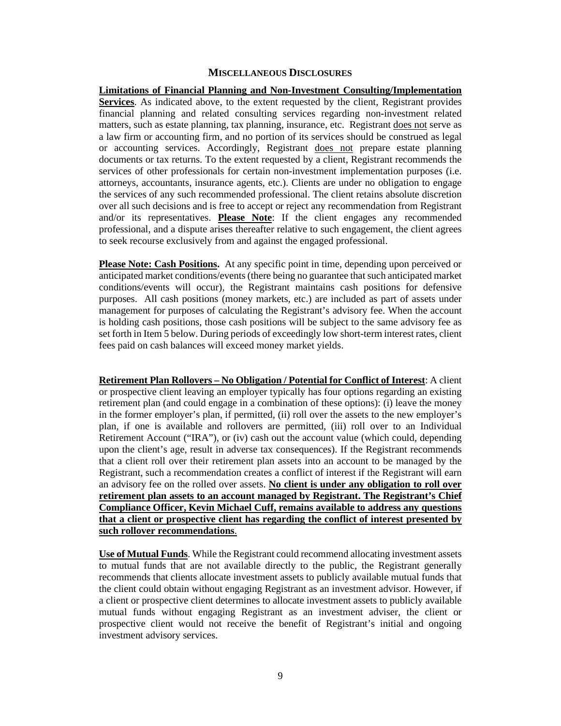#### **MISCELLANEOUS DISCLOSURES**

**Limitations of Financial Planning and Non-Investment Consulting/Implementation Services**. As indicated above, to the extent requested by the client, Registrant provides financial planning and related consulting services regarding non-investment related matters, such as estate planning, tax planning, insurance, etc. Registrant does not serve as a law firm or accounting firm, and no portion of its services should be construed as legal or accounting services. Accordingly, Registrant does not prepare estate planning documents or tax returns. To the extent requested by a client, Registrant recommends the services of other professionals for certain non-investment implementation purposes (i.e. attorneys, accountants, insurance agents, etc.). Clients are under no obligation to engage the services of any such recommended professional. The client retains absolute discretion over all such decisions and is free to accept or reject any recommendation from Registrant and/or its representatives. **Please Note**: If the client engages any recommended professional, and a dispute arises thereafter relative to such engagement, the client agrees to seek recourse exclusively from and against the engaged professional.

**Please Note: Cash Positions.** At any specific point in time, depending upon perceived or anticipated market conditions/events (there being no guarantee that such anticipated market conditions/events will occur), the Registrant maintains cash positions for defensive purposes. All cash positions (money markets, etc.) are included as part of assets under management for purposes of calculating the Registrant's advisory fee. When the account is holding cash positions, those cash positions will be subject to the same advisory fee as set forth in Item 5 below. During periods of exceedingly low short-term interest rates, client fees paid on cash balances will exceed money market yields.

**Retirement Plan Rollovers – No Obligation / Potential for Conflict of Interest**: A client or prospective client leaving an employer typically has four options regarding an existing retirement plan (and could engage in a combination of these options): (i) leave the money in the former employer's plan, if permitted, (ii) roll over the assets to the new employer's plan, if one is available and rollovers are permitted, (iii) roll over to an Individual Retirement Account ("IRA"), or (iv) cash out the account value (which could, depending upon the client's age, result in adverse tax consequences). If the Registrant recommends that a client roll over their retirement plan assets into an account to be managed by the Registrant, such a recommendation creates a conflict of interest if the Registrant will earn an advisory fee on the rolled over assets. **No client is under any obligation to roll over retirement plan assets to an account managed by Registrant. The Registrant's Chief Compliance Officer, Kevin Michael Cuff, remains available to address any questions that a client or prospective client has regarding the conflict of interest presented by such rollover recommendations**.

**Use of Mutual Funds**. While the Registrant could recommend allocating investment assets to mutual funds that are not available directly to the public, the Registrant generally recommends that clients allocate investment assets to publicly available mutual funds that the client could obtain without engaging Registrant as an investment advisor. However, if a client or prospective client determines to allocate investment assets to publicly available mutual funds without engaging Registrant as an investment adviser, the client or prospective client would not receive the benefit of Registrant's initial and ongoing investment advisory services.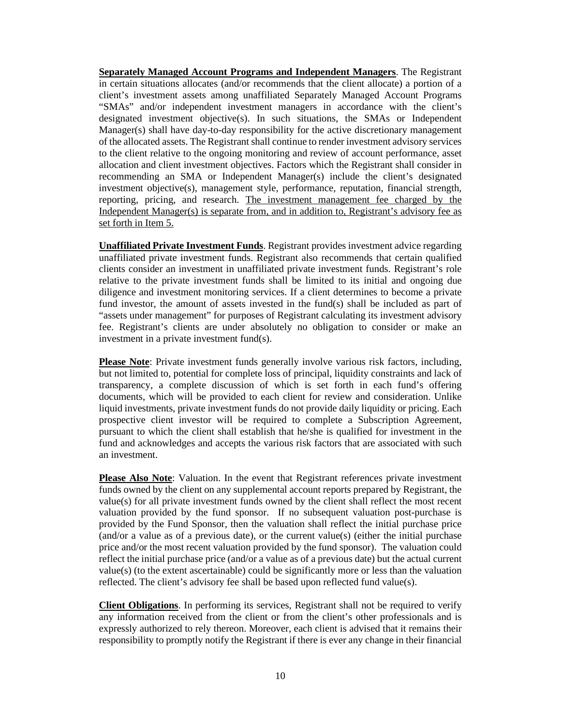**Separately Managed Account Programs and Independent Managers**. The Registrant in certain situations allocates (and/or recommends that the client allocate) a portion of a client's investment assets among unaffiliated Separately Managed Account Programs "SMAs" and/or independent investment managers in accordance with the client's designated investment objective(s). In such situations, the SMAs or Independent Manager(s) shall have day-to-day responsibility for the active discretionary management of the allocated assets. The Registrant shall continue to render investment advisory services to the client relative to the ongoing monitoring and review of account performance, asset allocation and client investment objectives. Factors which the Registrant shall consider in recommending an SMA or Independent Manager(s) include the client's designated investment objective(s), management style, performance, reputation, financial strength, reporting, pricing, and research. The investment management fee charged by the Independent Manager(s) is separate from, and in addition to, Registrant's advisory fee as set forth in Item 5.

**Unaffiliated Private Investment Funds**. Registrant provides investment advice regarding unaffiliated private investment funds. Registrant also recommends that certain qualified clients consider an investment in unaffiliated private investment funds. Registrant's role relative to the private investment funds shall be limited to its initial and ongoing due diligence and investment monitoring services. If a client determines to become a private fund investor, the amount of assets invested in the fund(s) shall be included as part of "assets under management" for purposes of Registrant calculating its investment advisory fee. Registrant's clients are under absolutely no obligation to consider or make an investment in a private investment fund(s).

**Please Note**: Private investment funds generally involve various risk factors, including, but not limited to, potential for complete loss of principal, liquidity constraints and lack of transparency, a complete discussion of which is set forth in each fund's offering documents, which will be provided to each client for review and consideration. Unlike liquid investments, private investment funds do not provide daily liquidity or pricing. Each prospective client investor will be required to complete a Subscription Agreement, pursuant to which the client shall establish that he/she is qualified for investment in the fund and acknowledges and accepts the various risk factors that are associated with such an investment.

**Please Also Note**: Valuation. In the event that Registrant references private investment funds owned by the client on any supplemental account reports prepared by Registrant, the value(s) for all private investment funds owned by the client shall reflect the most recent valuation provided by the fund sponsor. If no subsequent valuation post-purchase is provided by the Fund Sponsor, then the valuation shall reflect the initial purchase price  $(and/or a value as of a previous date)$ , or the current value $(s)$  (either the initial purchase price and/or the most recent valuation provided by the fund sponsor). The valuation could reflect the initial purchase price (and/or a value as of a previous date) but the actual current value(s) (to the extent ascertainable) could be significantly more or less than the valuation reflected. The client's advisory fee shall be based upon reflected fund value(s).

**Client Obligations**. In performing its services, Registrant shall not be required to verify any information received from the client or from the client's other professionals and is expressly authorized to rely thereon. Moreover, each client is advised that it remains their responsibility to promptly notify the Registrant if there is ever any change in their financial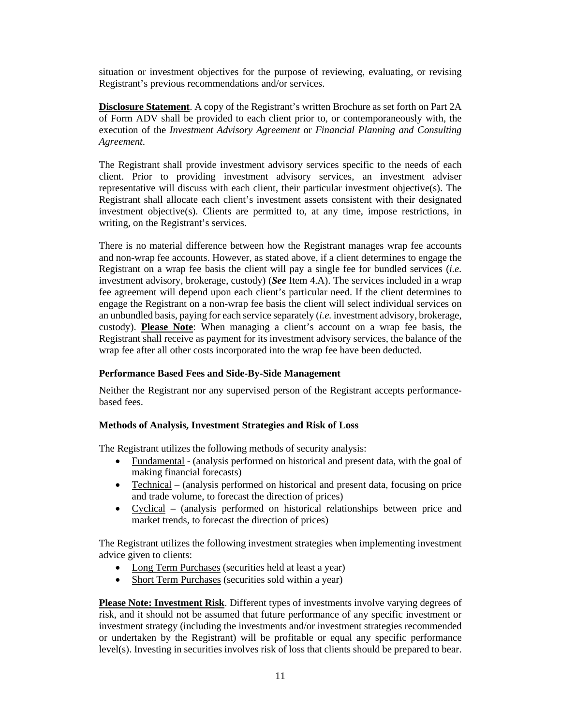situation or investment objectives for the purpose of reviewing, evaluating, or revising Registrant's previous recommendations and/or services.

**Disclosure Statement**. A copy of the Registrant's written Brochure as set forth on Part 2A of Form ADV shall be provided to each client prior to, or contemporaneously with, the execution of the *Investment Advisory Agreement* or *Financial Planning and Consulting Agreement*.

The Registrant shall provide investment advisory services specific to the needs of each client. Prior to providing investment advisory services, an investment adviser representative will discuss with each client, their particular investment objective(s). The Registrant shall allocate each client's investment assets consistent with their designated investment objective(s). Clients are permitted to, at any time, impose restrictions, in writing, on the Registrant's services.

There is no material difference between how the Registrant manages wrap fee accounts and non-wrap fee accounts. However, as stated above, if a client determines to engage the Registrant on a wrap fee basis the client will pay a single fee for bundled services (*i.e.* investment advisory, brokerage, custody) (*See* Item 4.A). The services included in a wrap fee agreement will depend upon each client's particular need. If the client determines to engage the Registrant on a non-wrap fee basis the client will select individual services on an unbundled basis, paying for each service separately (*i.e.* investment advisory, brokerage, custody). **Please Note**: When managing a client's account on a wrap fee basis, the Registrant shall receive as payment for its investment advisory services, the balance of the wrap fee after all other costs incorporated into the wrap fee have been deducted.

#### **Performance Based Fees and Side-By-Side Management**

Neither the Registrant nor any supervised person of the Registrant accepts performancebased fees.

#### **Methods of Analysis, Investment Strategies and Risk of Loss**

The Registrant utilizes the following methods of security analysis:

- Fundamental (analysis performed on historical and present data, with the goal of making financial forecasts)
- Technical (analysis performed on historical and present data, focusing on price and trade volume, to forecast the direction of prices)
- Cyclical (analysis performed on historical relationships between price and market trends, to forecast the direction of prices)

The Registrant utilizes the following investment strategies when implementing investment advice given to clients:

- Long Term Purchases (securities held at least a year)
- Short Term Purchases (securities sold within a year)

**Please Note: Investment Risk**. Different types of investments involve varying degrees of risk, and it should not be assumed that future performance of any specific investment or investment strategy (including the investments and/or investment strategies recommended or undertaken by the Registrant) will be profitable or equal any specific performance level(s). Investing in securities involves risk of loss that clients should be prepared to bear.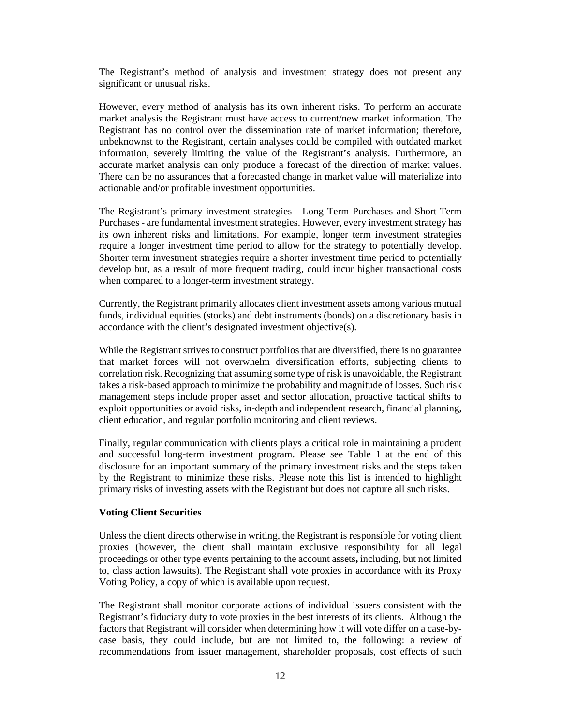The Registrant's method of analysis and investment strategy does not present any significant or unusual risks.

However, every method of analysis has its own inherent risks. To perform an accurate market analysis the Registrant must have access to current/new market information. The Registrant has no control over the dissemination rate of market information; therefore, unbeknownst to the Registrant, certain analyses could be compiled with outdated market information, severely limiting the value of the Registrant's analysis. Furthermore, an accurate market analysis can only produce a forecast of the direction of market values. There can be no assurances that a forecasted change in market value will materialize into actionable and/or profitable investment opportunities.

The Registrant's primary investment strategies - Long Term Purchases and Short-Term Purchases - are fundamental investment strategies. However, every investment strategy has its own inherent risks and limitations. For example, longer term investment strategies require a longer investment time period to allow for the strategy to potentially develop. Shorter term investment strategies require a shorter investment time period to potentially develop but, as a result of more frequent trading, could incur higher transactional costs when compared to a longer-term investment strategy.

Currently, the Registrant primarily allocates client investment assets among various mutual funds, individual equities (stocks) and debt instruments (bonds) on a discretionary basis in accordance with the client's designated investment objective(s).

While the Registrant strives to construct portfolios that are diversified, there is no guarantee that market forces will not overwhelm diversification efforts, subjecting clients to correlation risk. Recognizing that assuming some type of risk is unavoidable, the Registrant takes a risk-based approach to minimize the probability and magnitude of losses. Such risk management steps include proper asset and sector allocation, proactive tactical shifts to exploit opportunities or avoid risks, in-depth and independent research, financial planning, client education, and regular portfolio monitoring and client reviews.

Finally, regular communication with clients plays a critical role in maintaining a prudent and successful long-term investment program. Please see Table 1 at the end of this disclosure for an important summary of the primary investment risks and the steps taken by the Registrant to minimize these risks. Please note this list is intended to highlight primary risks of investing assets with the Registrant but does not capture all such risks.

#### **Voting Client Securities**

Unless the client directs otherwise in writing, the Registrant is responsible for voting client proxies (however, the client shall maintain exclusive responsibility for all legal proceedings or other type events pertaining to the account assets**,** including, but not limited to, class action lawsuits). The Registrant shall vote proxies in accordance with its Proxy Voting Policy, a copy of which is available upon request.

The Registrant shall monitor corporate actions of individual issuers consistent with the Registrant's fiduciary duty to vote proxies in the best interests of its clients. Although the factors that Registrant will consider when determining how it will vote differ on a case-bycase basis, they could include, but are not limited to, the following: a review of recommendations from issuer management, shareholder proposals, cost effects of such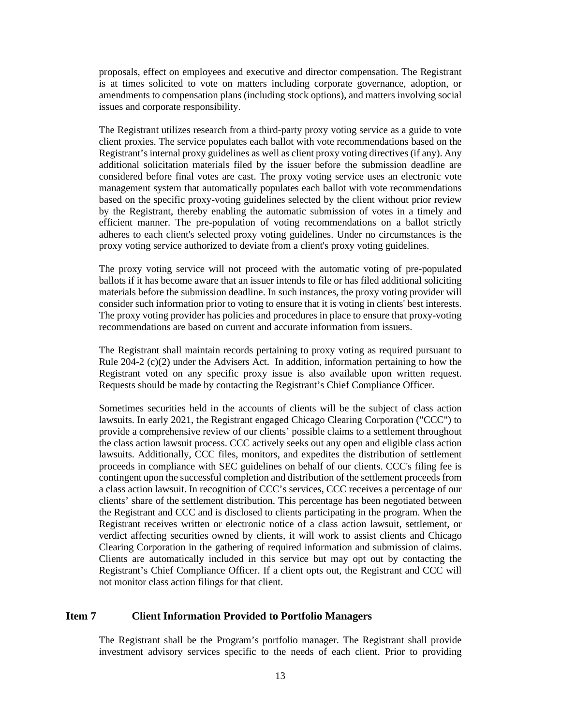proposals, effect on employees and executive and director compensation. The Registrant is at times solicited to vote on matters including corporate governance, adoption, or amendments to compensation plans (including stock options), and matters involving social issues and corporate responsibility.

The Registrant utilizes research from a third-party proxy voting service as a guide to vote client proxies. The service populates each ballot with vote recommendations based on the Registrant's internal proxy guidelines as well as client proxy voting directives (if any). Any additional solicitation materials filed by the issuer before the submission deadline are considered before final votes are cast. The proxy voting service uses an electronic vote management system that automatically populates each ballot with vote recommendations based on the specific proxy-voting guidelines selected by the client without prior review by the Registrant, thereby enabling the automatic submission of votes in a timely and efficient manner. The pre-population of voting recommendations on a ballot strictly adheres to each client's selected proxy voting guidelines. Under no circumstances is the proxy voting service authorized to deviate from a client's proxy voting guidelines.

The proxy voting service will not proceed with the automatic voting of pre-populated ballots if it has become aware that an issuer intends to file or has filed additional soliciting materials before the submission deadline. In such instances, the proxy voting provider will consider such information prior to voting to ensure that it is voting in clients' best interests. The proxy voting provider has policies and procedures in place to ensure that proxy-voting recommendations are based on current and accurate information from issuers.

The Registrant shall maintain records pertaining to proxy voting as required pursuant to Rule 204-2 (c)(2) under the Advisers Act. In addition, information pertaining to how the Registrant voted on any specific proxy issue is also available upon written request. Requests should be made by contacting the Registrant's Chief Compliance Officer.

Sometimes securities held in the accounts of clients will be the subject of class action lawsuits. In early 2021, the Registrant engaged Chicago Clearing Corporation ("CCC") to provide a comprehensive review of our clients' possible claims to a settlement throughout the class action lawsuit process. CCC actively seeks out any open and eligible class action lawsuits. Additionally, CCC files, monitors, and expedites the distribution of settlement proceeds in compliance with SEC guidelines on behalf of our clients. CCC's filing fee is contingent upon the successful completion and distribution of the settlement proceeds from a class action lawsuit. In recognition of CCC's services, CCC receives a percentage of our clients' share of the settlement distribution. This percentage has been negotiated between the Registrant and CCC and is disclosed to clients participating in the program. When the Registrant receives written or electronic notice of a class action lawsuit, settlement, or verdict affecting securities owned by clients, it will work to assist clients and Chicago Clearing Corporation in the gathering of required information and submission of claims. Clients are automatically included in this service but may opt out by contacting the Registrant's Chief Compliance Officer. If a client opts out, the Registrant and CCC will not monitor class action filings for that client.

## <span id="page-12-0"></span>**Item 7 Client Information Provided to Portfolio Managers**

The Registrant shall be the Program's portfolio manager. The Registrant shall provide investment advisory services specific to the needs of each client. Prior to providing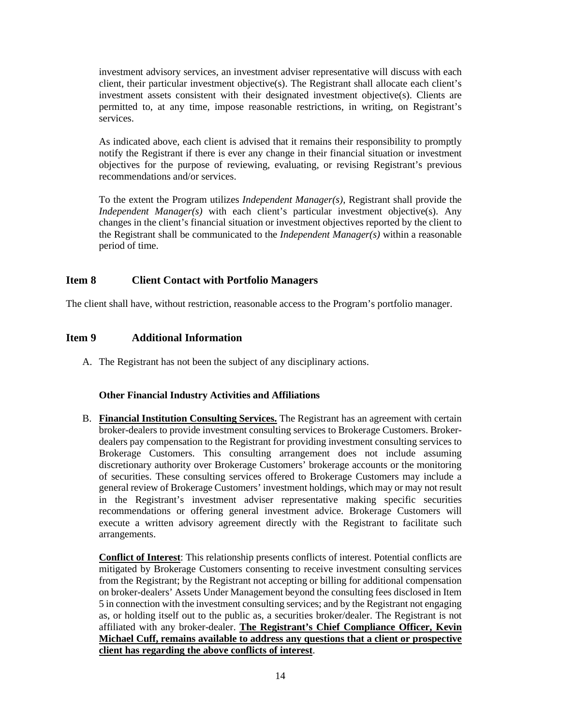investment advisory services, an investment adviser representative will discuss with each client, their particular investment objective(s). The Registrant shall allocate each client's investment assets consistent with their designated investment objective(s). Clients are permitted to, at any time, impose reasonable restrictions, in writing, on Registrant's services.

As indicated above, each client is advised that it remains their responsibility to promptly notify the Registrant if there is ever any change in their financial situation or investment objectives for the purpose of reviewing, evaluating, or revising Registrant's previous recommendations and/or services.

To the extent the Program utilizes *Independent Manager(s)*, Registrant shall provide the *Independent Manager(s)* with each client's particular investment objective(s). Any changes in the client's financial situation or investment objectives reported by the client to the Registrant shall be communicated to the *Independent Manager(s)* within a reasonable period of time.

## <span id="page-13-0"></span>**Item 8 Client Contact with Portfolio Managers**

<span id="page-13-1"></span>The client shall have, without restriction, reasonable access to the Program's portfolio manager.

## **Item 9 Additional Information**

A. The Registrant has not been the subject of any disciplinary actions.

## **Other Financial Industry Activities and Affiliations**

B. **Financial Institution Consulting Services.** The Registrant has an agreement with certain broker-dealers to provide investment consulting services to Brokerage Customers. Brokerdealers pay compensation to the Registrant for providing investment consulting services to Brokerage Customers. This consulting arrangement does not include assuming discretionary authority over Brokerage Customers' brokerage accounts or the monitoring of securities. These consulting services offered to Brokerage Customers may include a general review of Brokerage Customers' investment holdings, which may or may not result in the Registrant's investment adviser representative making specific securities recommendations or offering general investment advice. Brokerage Customers will execute a written advisory agreement directly with the Registrant to facilitate such arrangements.

**Conflict of Interest**: This relationship presents conflicts of interest. Potential conflicts are mitigated by Brokerage Customers consenting to receive investment consulting services from the Registrant; by the Registrant not accepting or billing for additional compensation on broker-dealers' Assets Under Management beyond the consulting fees disclosed in Item 5 in connection with the investment consulting services; and by the Registrant not engaging as, or holding itself out to the public as, a securities broker/dealer. The Registrant is not affiliated with any broker-dealer. **The Registrant's Chief Compliance Officer, Kevin Michael Cuff, remains available to address any questions that a client or prospective client has regarding the above conflicts of interest**.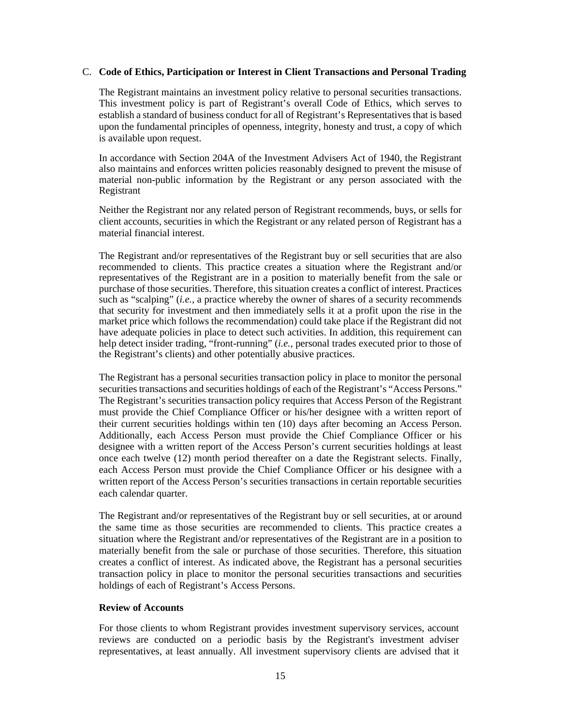#### C. **Code of Ethics, Participation or Interest in Client Transactions and Personal Trading**

The Registrant maintains an investment policy relative to personal securities transactions. This investment policy is part of Registrant's overall Code of Ethics, which serves to establish a standard of business conduct for all of Registrant's Representatives that is based upon the fundamental principles of openness, integrity, honesty and trust, a copy of which is available upon request.

In accordance with Section 204A of the Investment Advisers Act of 1940, the Registrant also maintains and enforces written policies reasonably designed to prevent the misuse of material non-public information by the Registrant or any person associated with the Registrant

Neither the Registrant nor any related person of Registrant recommends, buys, or sells for client accounts, securities in which the Registrant or any related person of Registrant has a material financial interest.

The Registrant and/or representatives of the Registrant buy or sell securities that are also recommended to clients. This practice creates a situation where the Registrant and/or representatives of the Registrant are in a position to materially benefit from the sale or purchase of those securities. Therefore, this situation creates a conflict of interest. Practices such as "scalping" (*i.e.*, a practice whereby the owner of shares of a security recommends that security for investment and then immediately sells it at a profit upon the rise in the market price which follows the recommendation) could take place if the Registrant did not have adequate policies in place to detect such activities. In addition, this requirement can help detect insider trading, "front-running" (*i.e.*, personal trades executed prior to those of the Registrant's clients) and other potentially abusive practices.

The Registrant has a personal securities transaction policy in place to monitor the personal securities transactions and securities holdings of each of the Registrant's "Access Persons." The Registrant's securities transaction policy requires that Access Person of the Registrant must provide the Chief Compliance Officer or his/her designee with a written report of their current securities holdings within ten (10) days after becoming an Access Person. Additionally, each Access Person must provide the Chief Compliance Officer or his designee with a written report of the Access Person's current securities holdings at least once each twelve (12) month period thereafter on a date the Registrant selects. Finally, each Access Person must provide the Chief Compliance Officer or his designee with a written report of the Access Person's securities transactions in certain reportable securities each calendar quarter.

The Registrant and/or representatives of the Registrant buy or sell securities, at or around the same time as those securities are recommended to clients. This practice creates a situation where the Registrant and/or representatives of the Registrant are in a position to materially benefit from the sale or purchase of those securities. Therefore, this situation creates a conflict of interest. As indicated above, the Registrant has a personal securities transaction policy in place to monitor the personal securities transactions and securities holdings of each of Registrant's Access Persons.

#### **Review of Accounts**

For those clients to whom Registrant provides investment supervisory services, account reviews are conducted on a periodic basis by the Registrant's investment adviser representatives, at least annually. All investment supervisory clients are advised that it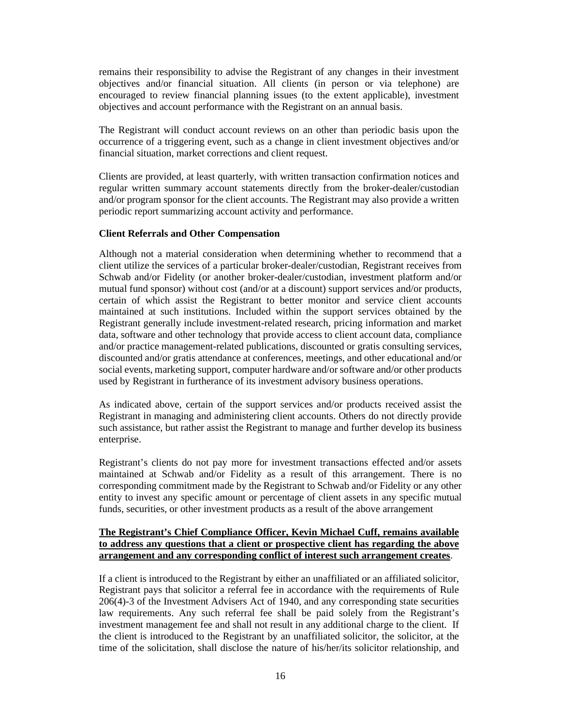remains their responsibility to advise the Registrant of any changes in their investment objectives and/or financial situation. All clients (in person or via telephone) are encouraged to review financial planning issues (to the extent applicable), investment objectives and account performance with the Registrant on an annual basis.

The Registrant will conduct account reviews on an other than periodic basis upon the occurrence of a triggering event, such as a change in client investment objectives and/or financial situation, market corrections and client request.

Clients are provided, at least quarterly, with written transaction confirmation notices and regular written summary account statements directly from the broker-dealer/custodian and/or program sponsor for the client accounts. The Registrant may also provide a written periodic report summarizing account activity and performance.

#### **Client Referrals and Other Compensation**

Although not a material consideration when determining whether to recommend that a client utilize the services of a particular broker-dealer/custodian, Registrant receives from Schwab and/or Fidelity (or another broker-dealer/custodian, investment platform and/or mutual fund sponsor) without cost (and/or at a discount) support services and/or products, certain of which assist the Registrant to better monitor and service client accounts maintained at such institutions. Included within the support services obtained by the Registrant generally include investment-related research, pricing information and market data, software and other technology that provide access to client account data, compliance and/or practice management-related publications, discounted or gratis consulting services, discounted and/or gratis attendance at conferences, meetings, and other educational and/or social events, marketing support, computer hardware and/or software and/or other products used by Registrant in furtherance of its investment advisory business operations.

As indicated above, certain of the support services and/or products received assist the Registrant in managing and administering client accounts. Others do not directly provide such assistance, but rather assist the Registrant to manage and further develop its business enterprise.

Registrant's clients do not pay more for investment transactions effected and/or assets maintained at Schwab and/or Fidelity as a result of this arrangement. There is no corresponding commitment made by the Registrant to Schwab and/or Fidelity or any other entity to invest any specific amount or percentage of client assets in any specific mutual funds, securities, or other investment products as a result of the above arrangement

## **The Registrant's Chief Compliance Officer, Kevin Michael Cuff, remains available to address any questions that a client or prospective client has regarding the above arrangement and any corresponding conflict of interest such arrangement creates**.

If a client is introduced to the Registrant by either an unaffiliated or an affiliated solicitor, Registrant pays that solicitor a referral fee in accordance with the requirements of Rule 206(4)-3 of the Investment Advisers Act of 1940, and any corresponding state securities law requirements. Any such referral fee shall be paid solely from the Registrant's investment management fee and shall not result in any additional charge to the client. If the client is introduced to the Registrant by an unaffiliated solicitor, the solicitor, at the time of the solicitation, shall disclose the nature of his/her/its solicitor relationship, and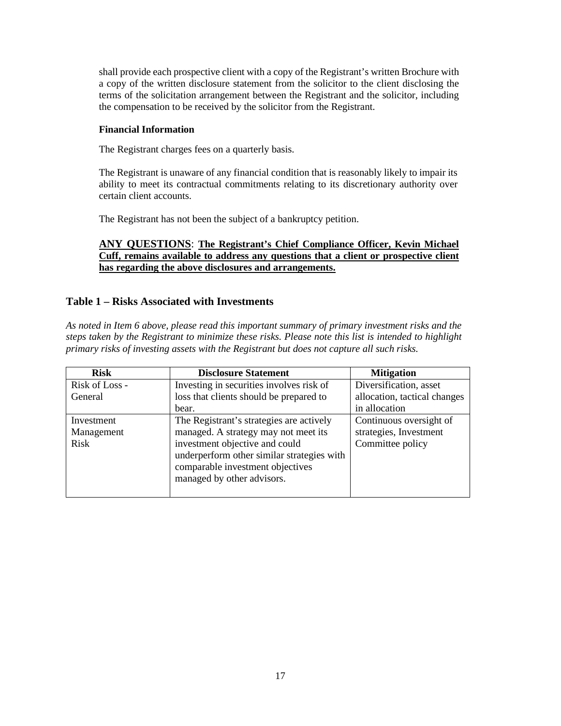shall provide each prospective client with a copy of the Registrant's written Brochure with a copy of the written disclosure statement from the solicitor to the client disclosing the terms of the solicitation arrangement between the Registrant and the solicitor, including the compensation to be received by the solicitor from the Registrant.

## **Financial Information**

The Registrant charges fees on a quarterly basis.

The Registrant is unaware of any financial condition that is reasonably likely to impair its ability to meet its contractual commitments relating to its discretionary authority over certain client accounts.

The Registrant has not been the subject of a bankruptcy petition.

## **ANY QUESTIONS**: **The Registrant's Chief Compliance Officer, Kevin Michael Cuff, remains available to address any questions that a client or prospective client has regarding the above disclosures and arrangements.**

## **Table 1 – Risks Associated with Investments**

*As noted in Item 6 above, please read this important summary of primary investment risks and the steps taken by the Registrant to minimize these risks. Please note this list is intended to highlight primary risks of investing assets with the Registrant but does not capture all such risks.*

| <b>Risk</b>              | <b>Disclosure Statement</b>                                                                                                                    | <b>Mitigation</b>                                 |
|--------------------------|------------------------------------------------------------------------------------------------------------------------------------------------|---------------------------------------------------|
| Risk of Loss -           | Investing in securities involves risk of                                                                                                       | Diversification, asset                            |
| General                  | loss that clients should be prepared to                                                                                                        | allocation, tactical changes                      |
|                          | bear.                                                                                                                                          | in allocation                                     |
| Investment<br>Management | The Registrant's strategies are actively<br>managed. A strategy may not meet its                                                               | Continuous oversight of<br>strategies, Investment |
| Risk                     | investment objective and could<br>underperform other similar strategies with<br>comparable investment objectives<br>managed by other advisors. | Committee policy                                  |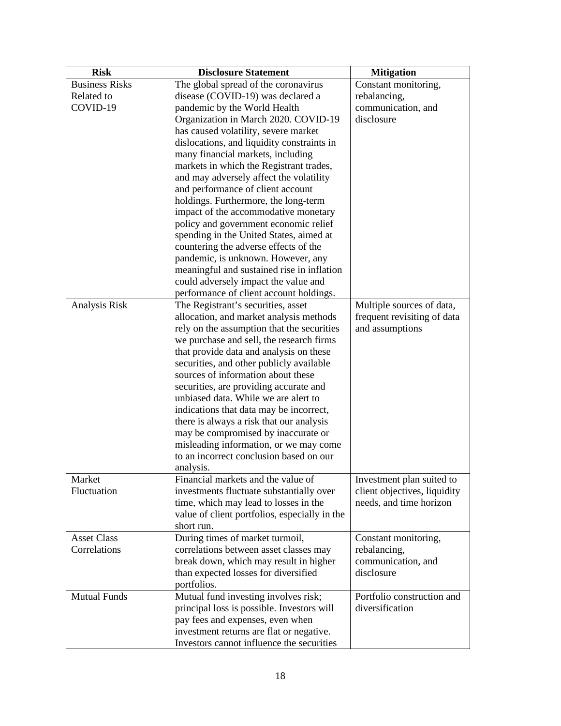| <b>Risk</b>           | <b>Disclosure Statement</b>                                                       | <b>Mitigation</b>                                         |
|-----------------------|-----------------------------------------------------------------------------------|-----------------------------------------------------------|
| <b>Business Risks</b> | The global spread of the coronavirus                                              | Constant monitoring,                                      |
| Related to            | disease (COVID-19) was declared a                                                 | rebalancing,                                              |
| COVID-19              | pandemic by the World Health                                                      | communication, and                                        |
|                       | Organization in March 2020. COVID-19                                              | disclosure                                                |
|                       | has caused volatility, severe market                                              |                                                           |
|                       | dislocations, and liquidity constraints in                                        |                                                           |
|                       | many financial markets, including                                                 |                                                           |
|                       | markets in which the Registrant trades,                                           |                                                           |
|                       | and may adversely affect the volatility                                           |                                                           |
|                       | and performance of client account                                                 |                                                           |
|                       | holdings. Furthermore, the long-term                                              |                                                           |
|                       | impact of the accommodative monetary                                              |                                                           |
|                       | policy and government economic relief                                             |                                                           |
|                       | spending in the United States, aimed at                                           |                                                           |
|                       | countering the adverse effects of the                                             |                                                           |
|                       | pandemic, is unknown. However, any                                                |                                                           |
|                       | meaningful and sustained rise in inflation                                        |                                                           |
|                       | could adversely impact the value and                                              |                                                           |
|                       | performance of client account holdings.                                           |                                                           |
| Analysis Risk         | The Registrant's securities, asset                                                | Multiple sources of data,                                 |
|                       | allocation, and market analysis methods                                           | frequent revisiting of data                               |
|                       | rely on the assumption that the securities                                        | and assumptions                                           |
|                       | we purchase and sell, the research firms                                          |                                                           |
|                       | that provide data and analysis on these                                           |                                                           |
|                       | securities, and other publicly available                                          |                                                           |
|                       | sources of information about these                                                |                                                           |
|                       | securities, are providing accurate and                                            |                                                           |
|                       | unbiased data. While we are alert to                                              |                                                           |
|                       | indications that data may be incorrect,                                           |                                                           |
|                       | there is always a risk that our analysis                                          |                                                           |
|                       | may be compromised by inaccurate or                                               |                                                           |
|                       | misleading information, or we may come<br>to an incorrect conclusion based on our |                                                           |
|                       |                                                                                   |                                                           |
|                       | analysis.<br>Financial markets and the value of                                   |                                                           |
| Market<br>Fluctuation | investments fluctuate substantially over                                          | Investment plan suited to<br>client objectives, liquidity |
|                       | time, which may lead to losses in the                                             | needs, and time horizon                                   |
|                       | value of client portfolios, especially in the                                     |                                                           |
|                       | short run.                                                                        |                                                           |
| <b>Asset Class</b>    | During times of market turmoil,                                                   | Constant monitoring,                                      |
| Correlations          | correlations between asset classes may                                            | rebalancing,                                              |
|                       | break down, which may result in higher                                            | communication, and                                        |
|                       | than expected losses for diversified                                              | disclosure                                                |
|                       | portfolios.                                                                       |                                                           |
| <b>Mutual Funds</b>   | Mutual fund investing involves risk;                                              | Portfolio construction and                                |
|                       | principal loss is possible. Investors will                                        | diversification                                           |
|                       | pay fees and expenses, even when                                                  |                                                           |
|                       | investment returns are flat or negative.                                          |                                                           |
|                       | Investors cannot influence the securities                                         |                                                           |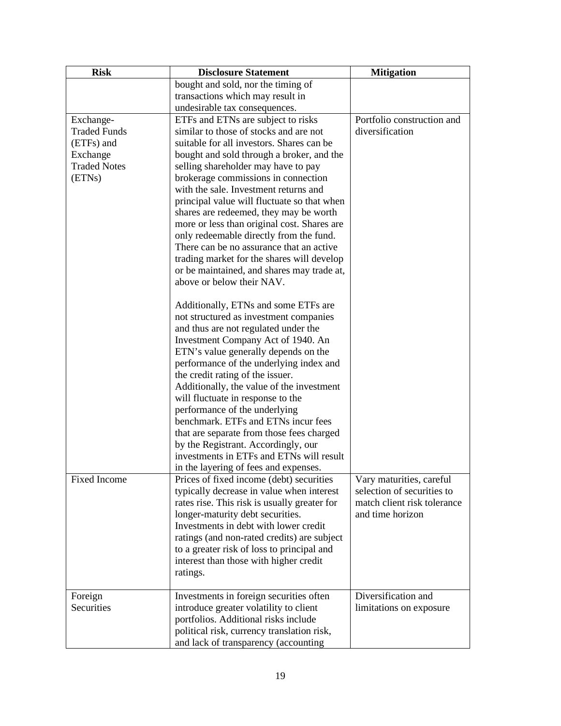| <b>Risk</b>         | <b>Disclosure Statement</b>                  | <b>Mitigation</b>           |
|---------------------|----------------------------------------------|-----------------------------|
|                     | bought and sold, nor the timing of           |                             |
|                     | transactions which may result in             |                             |
|                     | undesirable tax consequences.                |                             |
| Exchange-           | ETFs and ETNs are subject to risks           | Portfolio construction and  |
| <b>Traded Funds</b> | similar to those of stocks and are not       | diversification             |
| (ETFs) and          | suitable for all investors. Shares can be    |                             |
| Exchange            | bought and sold through a broker, and the    |                             |
| <b>Traded Notes</b> | selling shareholder may have to pay          |                             |
| (ETNs)              | brokerage commissions in connection          |                             |
|                     | with the sale. Investment returns and        |                             |
|                     | principal value will fluctuate so that when  |                             |
|                     | shares are redeemed, they may be worth       |                             |
|                     | more or less than original cost. Shares are  |                             |
|                     | only redeemable directly from the fund.      |                             |
|                     | There can be no assurance that an active     |                             |
|                     | trading market for the shares will develop   |                             |
|                     | or be maintained, and shares may trade at,   |                             |
|                     | above or below their NAV.                    |                             |
|                     | Additionally, ETNs and some ETFs are         |                             |
|                     | not structured as investment companies       |                             |
|                     | and thus are not regulated under the         |                             |
|                     | Investment Company Act of 1940. An           |                             |
|                     | ETN's value generally depends on the         |                             |
|                     | performance of the underlying index and      |                             |
|                     | the credit rating of the issuer.             |                             |
|                     | Additionally, the value of the investment    |                             |
|                     | will fluctuate in response to the            |                             |
|                     | performance of the underlying                |                             |
|                     | benchmark. ETFs and ETNs incur fees          |                             |
|                     | that are separate from those fees charged    |                             |
|                     | by the Registrant. Accordingly, our          |                             |
|                     | investments in ETFs and ETNs will result     |                             |
|                     | in the layering of fees and expenses.        |                             |
| <b>Fixed Income</b> | Prices of fixed income (debt) securities     | Vary maturities, careful    |
|                     | typically decrease in value when interest    | selection of securities to  |
|                     | rates rise. This risk is usually greater for | match client risk tolerance |
|                     | longer-maturity debt securities.             | and time horizon            |
|                     | Investments in debt with lower credit        |                             |
|                     | ratings (and non-rated credits) are subject  |                             |
|                     | to a greater risk of loss to principal and   |                             |
|                     | interest than those with higher credit       |                             |
|                     | ratings.                                     |                             |
| Foreign             | Investments in foreign securities often      | Diversification and         |
| Securities          | introduce greater volatility to client       | limitations on exposure     |
|                     | portfolios. Additional risks include         |                             |
|                     | political risk, currency translation risk,   |                             |
|                     | and lack of transparency (accounting         |                             |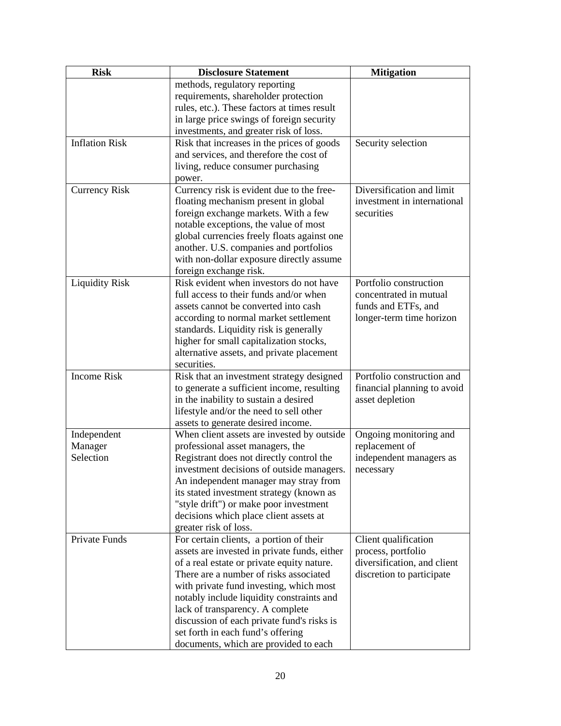| <b>Risk</b>           | <b>Disclosure Statement</b>                  | <b>Mitigation</b>           |
|-----------------------|----------------------------------------------|-----------------------------|
|                       | methods, regulatory reporting                |                             |
|                       | requirements, shareholder protection         |                             |
|                       | rules, etc.). These factors at times result  |                             |
|                       | in large price swings of foreign security    |                             |
|                       | investments, and greater risk of loss.       |                             |
| <b>Inflation Risk</b> | Risk that increases in the prices of goods   | Security selection          |
|                       | and services, and therefore the cost of      |                             |
|                       | living, reduce consumer purchasing           |                             |
|                       | power.                                       |                             |
| <b>Currency Risk</b>  | Currency risk is evident due to the free-    | Diversification and limit   |
|                       | floating mechanism present in global         | investment in international |
|                       | foreign exchange markets. With a few         | securities                  |
|                       | notable exceptions, the value of most        |                             |
|                       | global currencies freely floats against one  |                             |
|                       | another. U.S. companies and portfolios       |                             |
|                       | with non-dollar exposure directly assume     |                             |
|                       | foreign exchange risk.                       |                             |
| <b>Liquidity Risk</b> | Risk evident when investors do not have      | Portfolio construction      |
|                       | full access to their funds and/or when       | concentrated in mutual      |
|                       | assets cannot be converted into cash         | funds and ETFs, and         |
|                       | according to normal market settlement        | longer-term time horizon    |
|                       | standards. Liquidity risk is generally       |                             |
|                       | higher for small capitalization stocks,      |                             |
|                       | alternative assets, and private placement    |                             |
|                       | securities.                                  |                             |
| Income Risk           | Risk that an investment strategy designed    | Portfolio construction and  |
|                       | to generate a sufficient income, resulting   | financial planning to avoid |
|                       | in the inability to sustain a desired        | asset depletion             |
|                       | lifestyle and/or the need to sell other      |                             |
|                       | assets to generate desired income.           |                             |
| Independent           | When client assets are invested by outside   | Ongoing monitoring and      |
| Manager               | professional asset managers, the             | replacement of              |
| Selection             | Registrant does not directly control the     | independent managers as     |
|                       | investment decisions of outside managers.    | necessary                   |
|                       | An independent manager may stray from        |                             |
|                       | its stated investment strategy (known as     |                             |
|                       | "style drift") or make poor investment       |                             |
|                       | decisions which place client assets at       |                             |
|                       | greater risk of loss.                        |                             |
| Private Funds         | For certain clients, a portion of their      | Client qualification        |
|                       | assets are invested in private funds, either | process, portfolio          |
|                       | of a real estate or private equity nature.   | diversification, and client |
|                       | There are a number of risks associated       | discretion to participate   |
|                       | with private fund investing, which most      |                             |
|                       | notably include liquidity constraints and    |                             |
|                       | lack of transparency. A complete             |                             |
|                       | discussion of each private fund's risks is   |                             |
|                       | set forth in each fund's offering            |                             |
|                       | documents, which are provided to each        |                             |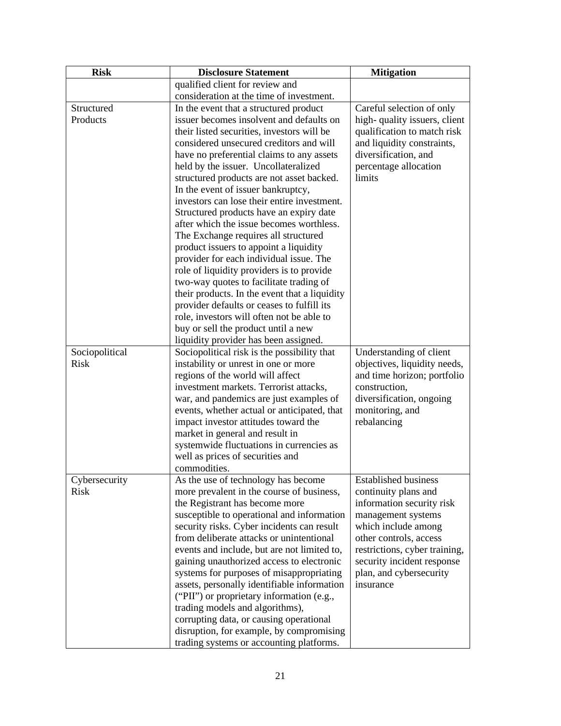| <b>Risk</b>    | <b>Disclosure Statement</b>                   | <b>Mitigation</b>             |
|----------------|-----------------------------------------------|-------------------------------|
|                | qualified client for review and               |                               |
|                | consideration at the time of investment.      |                               |
| Structured     | In the event that a structured product        | Careful selection of only     |
| Products       | issuer becomes insolvent and defaults on      | high-quality issuers, client  |
|                | their listed securities, investors will be    | qualification to match risk   |
|                | considered unsecured creditors and will       | and liquidity constraints,    |
|                | have no preferential claims to any assets     | diversification, and          |
|                | held by the issuer. Uncollateralized          | percentage allocation         |
|                | structured products are not asset backed.     | limits                        |
|                | In the event of issuer bankruptcy,            |                               |
|                | investors can lose their entire investment.   |                               |
|                | Structured products have an expiry date       |                               |
|                | after which the issue becomes worthless.      |                               |
|                | The Exchange requires all structured          |                               |
|                | product issuers to appoint a liquidity        |                               |
|                | provider for each individual issue. The       |                               |
|                | role of liquidity providers is to provide     |                               |
|                | two-way quotes to facilitate trading of       |                               |
|                | their products. In the event that a liquidity |                               |
|                | provider defaults or ceases to fulfill its    |                               |
|                | role, investors will often not be able to     |                               |
|                | buy or sell the product until a new           |                               |
|                | liquidity provider has been assigned.         |                               |
| Sociopolitical | Sociopolitical risk is the possibility that   | Understanding of client       |
| <b>Risk</b>    | instability or unrest in one or more          | objectives, liquidity needs,  |
|                | regions of the world will affect              | and time horizon; portfolio   |
|                | investment markets. Terrorist attacks,        | construction,                 |
|                | war, and pandemics are just examples of       | diversification, ongoing      |
|                | events, whether actual or anticipated, that   | monitoring, and               |
|                | impact investor attitudes toward the          | rebalancing                   |
|                | market in general and result in               |                               |
|                | systemwide fluctuations in currencies as      |                               |
|                | well as prices of securities and              |                               |
|                | commodities.                                  |                               |
| Cybersecurity  | As the use of technology has become           | <b>Established business</b>   |
| <b>Risk</b>    | more prevalent in the course of business,     | continuity plans and          |
|                | the Registrant has become more                | information security risk     |
|                | susceptible to operational and information    | management systems            |
|                | security risks. Cyber incidents can result    | which include among           |
|                | from deliberate attacks or unintentional      | other controls, access        |
|                | events and include, but are not limited to,   | restrictions, cyber training, |
|                | gaining unauthorized access to electronic     | security incident response    |
|                | systems for purposes of misappropriating      | plan, and cybersecurity       |
|                | assets, personally identifiable information   | insurance                     |
|                | ("PII") or proprietary information (e.g.,     |                               |
|                | trading models and algorithms),               |                               |
|                | corrupting data, or causing operational       |                               |
|                | disruption, for example, by compromising      |                               |
|                | trading systems or accounting platforms.      |                               |